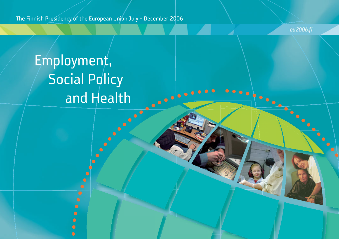The Finnish Presidency of the European Union July - December 2006

eu2006.fi

.......

.......

# Employment, **Social Policy** and Health **CONSULTER**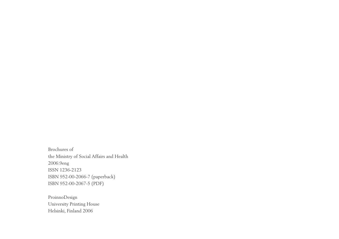Brochures of the Ministry of Social Affairs and Health 2006:9eng ISSN 1236-2123 ISBN 952-00-2066-7 (paperback) ISBN 952-00-2067-5 (PDF)

ProinnoDesign University Printing House Helsinki, Finland 2006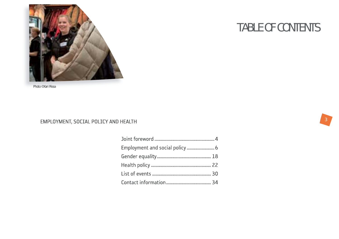

Photo ©Kari Rissa

### EMPLOYMENT, SOCIAL POLICY AND HEALTH

| Employment and social policy  6 |  |
|---------------------------------|--|
|                                 |  |
|                                 |  |
|                                 |  |
|                                 |  |

## TABLE OF CONTENTS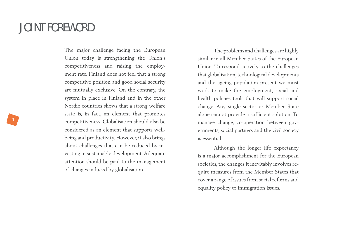### JOINT FOREWORD

The major challenge facing the European Union today is strengthening the Union's competitiveness and raising the employment rate. Finland does not feel that a strong competitive position and good social security are mutually exclusive. On the contrary, the system in place in Finland and in the other Nordic countries shows that a strong welfare state is, in fact, an element that promotes competitiveness. Globalisation should also be considered as an element that supports wellbeing and productivity. However, it also brings about challenges that can be reduced by investing in sustainable development. Adequate attention should be paid to the management of changes induced by globalisation.

The problems and challenges are highly similar in all Member States of the European Union. To respond actively to the challenges that globalisation, technological developments and the ageing population present we must work to make the employment, social and health policies tools that will support social change. Any single sector or Member State alone cannot provide a sufficient solution. To manage change, co-operation between governments, social partners and the civil society is essential.

Although the longer life expectancy is a major accomplishment for the European societies, the changes it inevitably involves require measures from the Member States that cover a range of issues from social reforms and equality policy to immigration issues.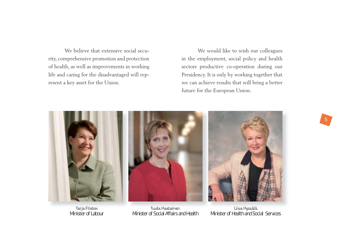We believe that extensive social security, comprehensive promotion and protection of health, as well as improvements in working life and caring for the disadvantaged will represent a key asset for the Union.

We would like to wish our colleagues in the employment, social policy and health sectors productive co-operation during our Presidency. It is only by working together that we can achieve results that will bring a better future for the European Union.



Tarja Filatov Tuula Haatainen Liisa Hyssälä

Minister of Health and Social Services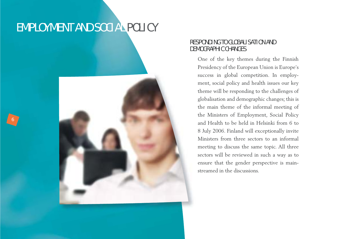### EMPLOYMENT AND SOCIAL POLICY

6



### RESPONDING TO GLOBALISATION AND DEMOGRAPHIC CHANGES

One of the key themes during the Finnish Presidency of the European Union is Europe's success in global competition. In employment, social policy and health issues our key theme will be responding to the challenges of <sup>g</sup>lobalisation and demographic changes; this is the main theme of the informal meeting of the Ministers of Employment, Social Policy and Health to be held in Helsinki from 6 to 8 July 2006. Finland will exceptionally invite Ministers from three sectors to an informal meeting to discuss the same topic. All three sectors will be reviewed in such a way as to ensure that the gender perspective is mainstreamed in the discussions.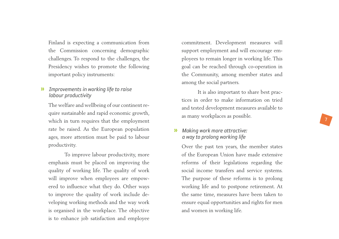Finland is expecting a communication from the Commission concerning demographic challenges. To respond to the challenges, the Presidency wishes to promote the following important policy instruments:

#### » *Improvements in working life to raise labour productivity*

The welfare and wellbeing of our continent require sustainable and rapid economic growth, which in turn requires that the employment rate be raised. As the European population ages, more attention must be paid to labour productivity.

To improve labour productivity, more emphasis must be placed on improving the quality of working life. The quality of work will improve when employees are empowered to influence what they do. Other ways to improve the quality of work include developing working methods and the way work is organised in the workplace. The objective is to enhance job satisfaction and employee commitment. Development measures will support employment and will encourage em<sup>p</sup>loyees to remain longer in working life. This goal can be reached through co-operation in the Community, among member states and among the social partners.

It is also important to share best practices in order to make information on tried and tested development measures available to as many workplaces as possible.

7

#### » *Making work more attractive: a way to prolong working life*

Over the past ten years, the member states of the European Union have made extensive reforms of their legislations regarding the social income transfers and service systems. The purpose of these reforms is to prolong working life and to postpone retirement. At the same time, measures have been taken to ensure equal opportunities and rights for men and women in working life.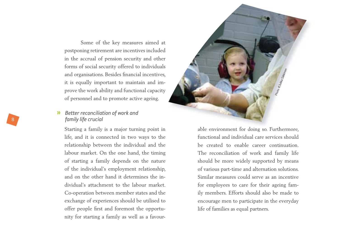Some of the key measures aimed at postponing retirement are incentives included in the accrual of pension security and other forms of social security offered to individuals and organisations. Besides financial incentives, it is equally important to maintain and improve the work ability and functional capacity of personnel and to promote active ageing.

#### » *Better reconciliation of work and family life crucial*

Starting a family is a major turning point in life, and it is connected in two ways to the relationship between the individual and the labour market. On the one hand, the timing of starting a family depends on the nature of the individual's employment relationship, and on the other hand it determines the individual's attachment to the labour market. Co-operation between member states and the exchange of experiences should be utilised to offer people first and foremost the opportunity for starting a family as well as a favour-



able environment for doing so. Furthermore,<br>functional and individual care services should<br>be created to enable career continuation.<br>The reconciliation of work and family life<br>should be more widely supported by means<br>of va ily members. Efforts should also be made to encourage men to participate in the everyday life of families as equal partners.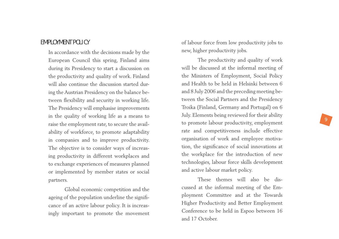### EMPLOYMENT POLICY

In accordance with the decisions made by the European Council this spring, Finland aims during its Presidency to start a discussion on the productivity and quality of work. Finland will also continue the discussion started during the Austrian Presidency on the balance between flexibility and security in working life. The Presidency will emphasise improvements in the quality of working life as a means to raise the employment rate, to secure the availability of workforce, to promote adaptability in companies and to improve productivity. The objective is to consider ways of increasing productivity in different workplaces and to exchange experiences of measures planned or implemented by member states or social partners.

Global economic competition and the ageing of the population underline the significance of an active labour policy. It is increasingly important to promote the movement of labour force from low productivity jobs to new, higher productivity jobs.

The productivity and quality of work will be discussed at the informal meeting of the Ministers of Employment, Social Policy and Health to be held in Helsinki between 6 and 8 July 2006 and the preceding meeting between the Social Partners and the Presidency Troika (Finland, Germany and Portugal) on 6 July. Elements being reviewed for their ability to promote labour productivity, employment rate and competitiveness include effective organisation of work and employee motivation, the significance of social innovations at the workplace for the introduction of new technologies, labour force skills development and active labour market policy.

These themes will also be discussed at the informal meeting of the Em<sup>p</sup>loyment Committee and at the Towards Higher Productivity and Better Employment Conference to be held in Espoo between 16 and 17 October.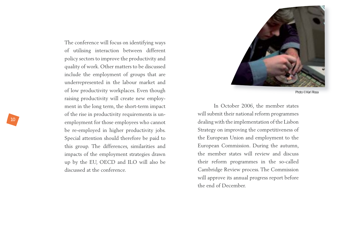The conference will focus on identifying ways of utilising interaction between different policy sectors to improve the productivity and quality of work. Other matters to be discussed include the employment of groups that are underrepresented in the labour market and of low productivity workplaces. Even though raising productivity will create new employment in the long term, the short-term impact of the rise in productivity requirements is unemployment for those employees who cannot be re-employed in higher productivity jobs. Special attention should therefore be paid to this group. The differences, similarities and impacts of the employment strategies drawn up by the EU, OECD and ILO will also be discussed at the conference.



Photo © Kari Rissa

In October 2006, the member states will submit their national reform programmes dealing with the implementation of the Lisbon Strategy on improving the competitiveness of the European Union and employment to the European Commission. During the autumn, the member states will review and discuss their reform programmes in the so-called Cambridge Review process. The Commission will approve its annual progress report before the end of December.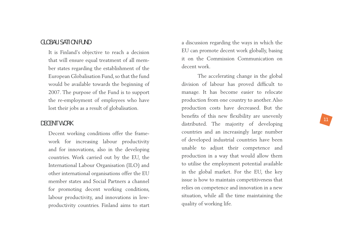### GLOBALISATION FUND

It is Finland's objective to reach a decision that will ensure equal treatment of all member states regarding the establishment of the European Globalisation Fund, so that the fund would be available towards the beginning of 2007. The purpose of the Fund is to support the re-employment of employees who have lost their jobs as a result of globalisation.

### DECENT WORK

Decent working conditions offer the framework for increasing labour productivity and for innovations, also in the developing countries. Work carried out by the EU, the International Labour Organisation (ILO) and other international organisations offer the EU member states and Social Partners a channel for promoting decent working conditions, labour productivity, and innovations in lowproductivity countries. Finland aims to start a discussion regarding the ways in which the EU can promote decent work globally, basing it on the Commission Communication on decent work.

The accelerating change in the global division of labour has proved difficult to manage. It has become easier to relocate production from one country to another. Also production costs have decreased. But the benefits of this new flexibility are unevenly distributed. The majority of developing countries and an increasingly large number of developed industrial countries have been unable to adjust their competence and production in a way that would allow them to utilise the employment potential available in the global market. For the EU, the key issue is how to maintain competitiveness that relies on competence and innovation in a new situation, while all the time maintaining the quality of working life.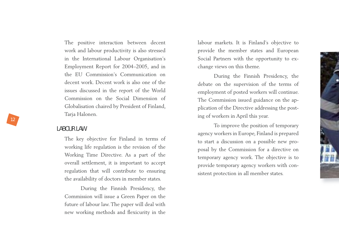The positive interaction between decent work and labour productivity is also stressed in the International Labour Organisation's Employment Report for 2004–2005, and in the EU Commission's Communication on decent work. Decent work is also one of the issues discussed in the report of the World Commission on the Social Dimension of Globalisation chaired by President of Finland, Tarja Halonen.

### LABOUR LAW

The key objective for Finland in terms of working life regulation is the revision of the Working Time Directive. As a part of the overall settlement, it is important to accept regulation that will contribute to ensuring the availability of doctors in member states.

During the Finnish Presidency, the Commission will issue a Green Paper on the future of labour law. The paper will deal with new working methods and flexicurity in the

labour markets. It is Finland's objective to provide the member states and European Social Partners with the opportunity to exchange views on this theme.

During the Finnish Presidency, the debate on the supervision of the terms of employment of posted workers will continue. The Commission issued guidance on the application of the Directive addressing the posting of workers in April this year.

To improve the position of temporary agency workers in Europe, Finland is prepared to start a discussion on a possible new proposal by the Commission for a directive on temporary agency work. The objective is to provide temporary agency workers with consistent protection in all member states.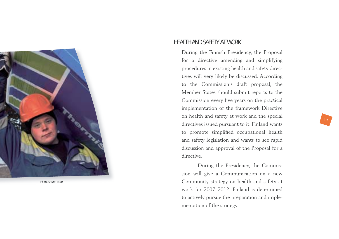

Photo © Kari Rissa

### HEALTH AND SAFETY AT WORK

During the Finnish Presidency, the Proposal for a directive amending and simplifying procedures in existing health and safety directives will very likely be discussed. According to the Commission's draft proposal, the Member States should submit reports to the Commission every five years on the practical implementation of the framework Directive on health and safety at work and the special directives issued pursuant to it. Finland wants to promote simplified occupational health and safety legislation and wants to see rapid discussion and approval of the Proposal for a directive.

During the Presidency, the Commission will give a Communication on a new Community strategy on health and safety at work for 2007–2012. Finland is determined to actively pursue the preparation and implementation of the strategy.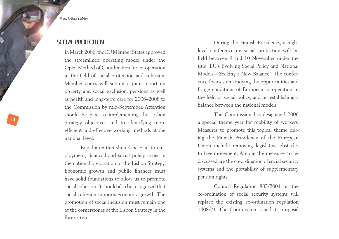Photo © Susanna Mäki

14

### SOCIAL PROTECTION

In March 2006, the EU Member States approved the streamlined operating model under the Open Method of Coordination for co-operation in the field of social protection and cohesion. Member states will submit a joint report on poverty and social exclusion, pensions as well as health and long-term care for 2006–2008 to the Commission by mid-September. Attention should be paid to implementing the Lisbon Strategy objectives and to identifying more efficient and effective working methods at the national level.

Equal attention should be paid to employment, financial and social policy issues in the national preparation of the Lisbon Strategy. Economic growth and public finances must have solid foundations to allow us to promote social cohesion. It should also be recognised that social cohesion supports economic growth. The promotion of social inclusion must remain one of the cornerstones of the Lisbon Strategy in the future, too.

During the Finnish Presidency, a highlevel conference on social protection will be held between 9 and 10 November under the title "EU's Evolving Social Policy and National Models – Seeking a New Balance". The conference focuses on studying the opportunities and fringe conditions of European co-operation in the field of social policy, and on establishing a balance between the national models.

The Commission has designated 2006 a special theme year for mobility of workers. Measures to promote this topical theme during the Finnish Presidency of the European Union include removing legislative obstacles to free movement. Among the measures to be discussed are the co-ordination of social security systems and the portability of supplementary pension rights.

Council Regulation 883/2004 on the co-ordination of social security systems will replace the existing co-ordination regulation 1408/71. The Commission issued its proposal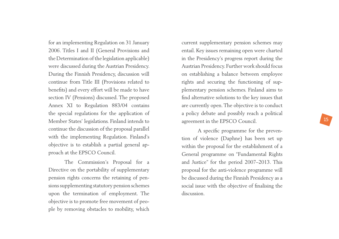for an implementing Regulation on 31 January 2006. Titles I and II (General Provisions and the Determination of the legislation applicable) were discussed during the Austrian Presidency. During the Finnish Presidency, discussion will continue from Title III (Provisions related to benefits) and every effort will be made to have section IV (Pensions) discussed. The proposed Annex XI to Regulation 883/04 contains the special regulations for the application of Member States' legislations. Finland intends to continue the discussion of the proposal parallel with the implementing Regulation. Finland's objective is to establish a partial general approach at the EPSCO Council.

The Commission's Proposal for a Directive on the portability of supplementary pension rights concerns the retaining of pensions supplementing statutory pension schemes upon the termination of employment. The objective is to promote free movement of peo<sup>p</sup>le by removing obstacles to mobility, which current supplementary pension schemes may entail. Key issues remaining open were charted in the Presidency's progress report during the Austrian Presidency. Further work should focus on establishing a balance between employee rights and securing the functioning of sup<sup>p</sup>lementary pension schemes. Finland aims to find alternative solutions to the key issues that are currently open. The objective is to conduct a policy debate and possibly reach a political agreement in the EPSCO Council.

A specific programme for the prevention of violence (Daphne) has been set up within the proposal for the establishment of a General programme on "Fundamental Rights and Justice" for the period 2007–2013. This proposal for the anti-violence programme will be discussed during the Finnish Presidency as a social issue with the objective of finalising the discussion.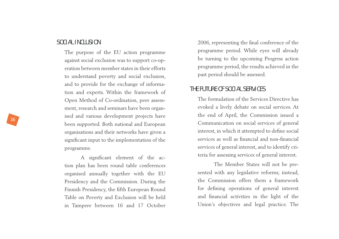### SOCIAL INCLUSION

The purpose of the EU action programme against social exclusion was to support co-operation between member states in their efforts to understand poverty and social exclusion, and to provide for the exchange of information and experts. Within the framework of Open Method of Co-ordination, peer assessment, research and seminars have been organised and various development projects have been supported. Both national and European organisations and their networks have given a significant input to the implementation of the programme.

A significant element of the action plan has been round table conferences organised annually together with the EU Presidency and the Commission. During the Finnish Presidency, the fifth European Round Table on Poverty and Exclusion will be held in Tampere between 16 and 17 October 2006, representing the final conference of the programme period. While eyes will already be turning to the upcoming Progress action programme period, the results achieved in the past period should be assessed.

### THE FUTURE OF SOCIAL SERVICES

The formulation of the Services Directive has evoked a lively debate on social services. At the end of April, the Commission issued a Communication on social services of general interest, in which it attempted to define social services as well as financial and non-financial services of general interest, and to identify criteria for assessing services of general interest.

The Member States will not be presented with any legislative reforms; instead, the Commission offers them a framework for defining operations of general interest and financial activities in the light of the Union's objectives and legal practice. The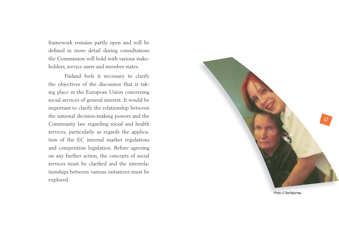framework remains partly open and will be defined in more detail during consultations the Commission will hold with various stakeholders, service users and member states.

Finland feels it necessary to clarify the objectives of the discussion that is taking place in the European Union concerning social services of general interest. It would be important to clarify the relationship between the national decision-making powers and the Community law regarding social and health services, particularly as regards the application of the EC internal market regulations and competition legislation. Before agreeing on any further action, the concepts of social services must be clarified and the interrelationships between various initiatives must be explored.



Photo © Tea Reijomaa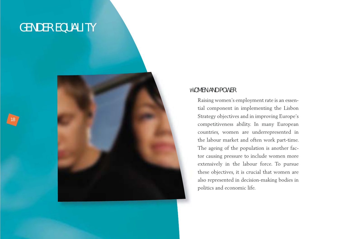### GENDER EQUALITY

18



### WOMEN AND POWER

Raising women's employment rate is an essential component in implementing the Lisbon Strategy objectives and in improving Europe's competitiveness ability. In many European countries, women are underrepresented in the labour market and often work part-time. The ageing of the population is another factor causing pressure to include women more extensively in the labour force. To pursue these objectives, it is crucial that women are also represented in decision-making bodies in politics and economic life.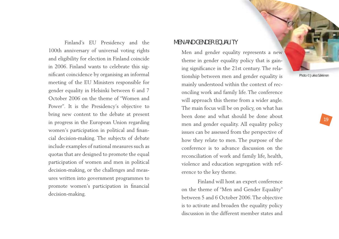

Finland's EU Presidency and the 100th anniversary of universal voting rights and eligibility for election in Finland coincide in 2006. Finland wants to celebrate this significant coincidence by organising an informal meeting of the EU Ministers responsible for gender equality in Helsinki between 6 and 7 October 2006 on the theme of "Women and Power". It is the Presidency's objective to bring new content to the debate at present in progress in the European Union regarding women's participation in political and financial decision-making. The subjects of debate include examples of national measures such as quotas that are designed to promote the equal participation of women and men in political decision-making, or the challenges and measures written into government programmes to promote women's participation in financial decision-making.

### MEN AND GENDER FOUAL LTY

Men and gender equality represents a new theme in gender equality policy that is gaining significance in the 21st century. The relationship between men and gender equality is mainly understood within the context of reconciling work and family life. The conference will approach this theme from a wider angle. The main focus will be on policy, on what has been done and what should be done about men and gender equality. All equality policy issues can be assessed from the perspective of how they relate to men. The purpose of the conference is to advance discussion on the reconciliation of work and family life, health, violence and education segregation with reference to the key theme.

Finland will host an expert conference on the theme of "Men and Gender Equality" between 5 and 6 October 2006. The objective is to activate and broaden the equality policy discussion in the different member states and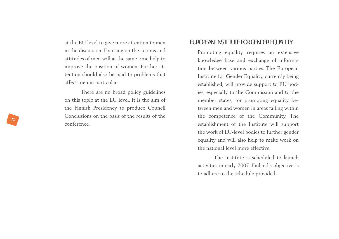at the EU level to give more attention to men in the discussion. Focusing on the actions and attitudes of men will at the same time help to improve the position of women. Further attention should also be paid to problems that affect men in particular.

There are no broad policy guidelines on this topic at the EU level. It is the aim of the Finnish Presidency to produce Council Conclusions on the basis of the results of the conference.

### EUROPEAN INSTITUTE FOR GENDER EQUALITY

Promoting equality requires an extensive knowledge base and exchange of information between various parties. The European Institute for Gender Equality, currently being established, will provide support to EU bodies, especially to the Commission and to the member states, for promoting equality between men and women in areas falling within the competence of the Community. The establishment of the Institute will support the work of EU-level bodies to further gender equality and will also help to make work on the national level more effective.

The Institute is scheduled to launch activities in early 2007. Finland's objective is to adhere to the schedule provided.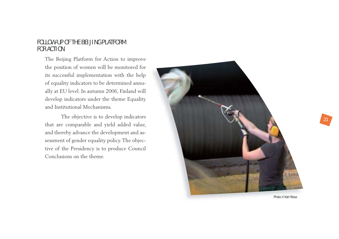### FOLLOW-UP OF THE BEIJING PLATFORM FOR ACTION

The Beijing Platform for Action to improve the position of women will be monitored for its successful implementation with the help of equality indicators to be determined annually at EU level. In autumn 2006, Finland will develop indicators under the theme Equality and Institutional Mechanisms.

The objective is to develop indicators that are comparable and yield added value, and thereby advance the development and assessment of gender equality policy. The objective of the Presidency is to produce Council Conclusions on the theme.

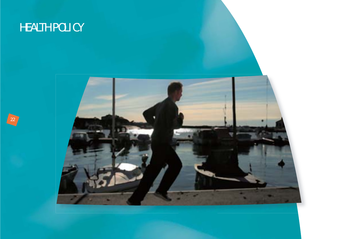### HEALTH POLICY

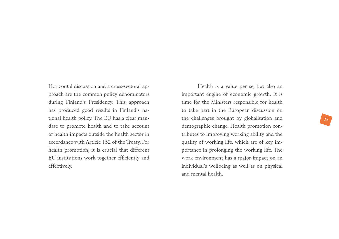Horizontal discussion and a cross-sectoral approach are the common policy denominators during Finland's Presidency. This approach has produced good results in Finland's national health policy. The EU has a clear mandate to promote health and to take account of health impacts outside the health sector in accordance with Article 152 of the Treaty. For health promotion, it is crucial that different EU institutions work together efficiently and effectively.

Health is a value per se, but also an important engine of economic growth. It is time for the Ministers responsible for health to take part in the European discussion on the challenges brought by globalisation and demographic change. Health promotion contributes to improving working ability and the quality of working life, which are of key importance in prolonging the working life. The work environment has a major impact on an individual's wellbeing as well as on physical and mental health.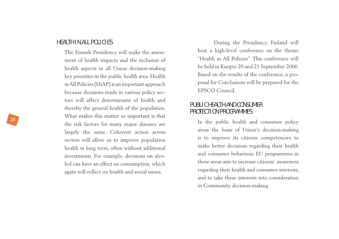### HEALTH IN ALL POLICIES

The Finnish Presidency will make the assessment of health impacts and the inclusion of health aspects in all Union decision-making key priorities in the public health area. Health in All Policies (HiAP) is an important approach because decisions made in various policy sectors will affect determinants of health and thereby the general health of the population. What makes this matter so important is that the risk factors for many major diseases are largely the same. Coherent action across sectors will allow us to improve population health in long term, often without additional investments. For example, decisions on alcohol can have an effect on consumption, which again will reflect on health and social issues.

During the Presidency, Finland will host a high-level conference on the theme "Health in All Policies". This conference will be held in Kuopio 20 and 21 September 2006. Based on the results of the conference, a proposal for Conclusions will be prepared for the EPSCO Council.

### PUBLIC HEALTH AND CONSUMER PROTECTION PROGRAMMES

In the public health and consumer policy areas the basis of Union's decision-making is to improve its citizens competencies to make better decisions regarding their health and consumer behaviour. EU programmes in these areas aim to increase citizens' awareness regarding their health and consumer interests, and to take these interests into consideration in Community decision-making.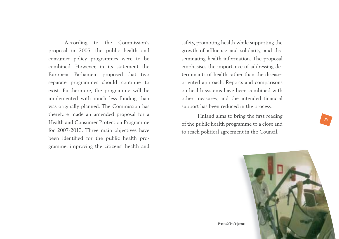According to the Commission's proposal in 2005, the public health and consumer policy programmes were to be combined. However, in its statement the European Parliament proposed that two separate programmes should continue to exist. Furthermore, the programme will be implemented with much less funding than was originally planned. The Commission has therefore made an amended proposal for a Health and Consumer Protection Programme for 2007-2013. Three main objectives have been identified for the public health programme: improving the citizens' health and

safety, promoting health while supporting the growth of affluence and solidarity, and disseminating health information. The proposal emphasises the importance of addressing determinants of health rather than the diseaseoriented approach. Reports and comparisons on health systems have been combined with other measures, and the intended financial support has been reduced in the process.

Finland aims to bring the first reading of the public health programme to a close and to reach political agreement in the Council.

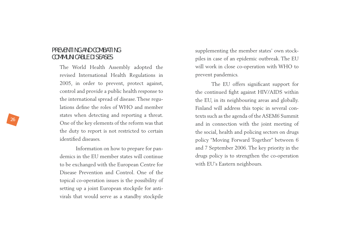### PREVENTING AND COMBATING COMMUNICABLE DISEASES

The World Health Assembly adopted the revised International Health Regulations in 2005, in order to prevent, protect against, control and provide a public health response to the international spread of disease. These regulations define the roles of  $WHO$  and member states when detecting and reporting a threat. One of the key elements of the reform was that the duty to report is not restricted to certain identified diseases

Information on how to prepare for pandemics in the EU member states will continue to be exchanged with the European Centre for Disease Prevention and Control. One of the topical co-operation issues is the possibility of setting up a joint European stockpile for antivirals that would serve as a standby stockpile

supplementing the member states' own stock<sup>p</sup>iles in case of an epidemic outbreak. The EU will work in close co-operation with WHO to prevent pandemics.

The EU offers significant support for the continued fight against HIV/AIDS within the EU, in its neighbouring areas and globally. Finland will address this topic in several contexts such as the agenda of the ASEM6 Summit and in connection with the joint meeting of the social, health and policing sectors on drugs policy "Moving Forward Together" between 6 and 7 September 2006. The key priority in the drugs policy is to strengthen the co-operation with EU's Eastern neighbours.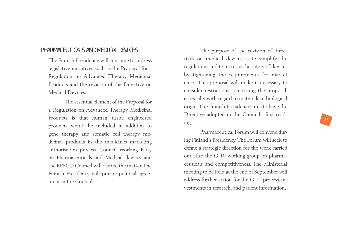### PHARMACEUTICALS AND MEDICAL DEVICES

The Finnish Presidency will continue to address legislative initiatives such as the Proposal for a Regulation on Advanced Therapy Medicinal Products and the revision of the Directive on Medical Devices.

The essential element of the Proposal for a Regulation on Advanced Therapy Medicinal Products is that human tissue engineered products would be included in addition to gene therapy and somatic cell therapy medicinal products in the medicines marketing authorisation process. Council Working Party on Pharmaceuticals and Medical devices and the EPSCO Council will discuss the matter. The Finnish Presidency will pursue political agreement in the Council.

The purpose of the revision of directives on medical devices is to simplify the regulations and to increase the safety of devices by tightening the requirements for market entry. This proposal will make it necessary to consider restrictions concerning the proposal, especially with regard to materials of biological origin. The Finnish Presidency aims to have the Directive adopted in the Council's first reading.

Pharmaceutical Forum will convene during Finland's Presidency. The Forum will seek to define a strategic direction for the work carried out after the G 10 working group on pharmaceuticals and competitiveness. The Ministerial meeting to be held at the end of September will address further action for the G 10 process, investments in research, and patient information.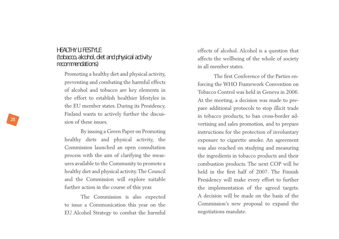### HEALTHY LIFESTYLE (tobacco, alcohol, diet and physical activity recommendations)

Promoting a healthy diet and physical activity, preventing and combating the harmful effects of alcohol and tobacco are key elements in the effort to establish healthier lifestyles in the EU member states. During its Presidency, Finland wants to actively further the discussion of these issues.

By issuing a Green Paper on Promoting healthy diets and physical activity, the Commission launched an open consultation process with the aim of clarifying the measures available to the Community to promote a healthy diet and physical activity. The Council and the Commission will explore suitable further action in the course of this year.

The Commission is also expected to issue a Communication this year on the EU Alcohol Strategy to combat the harmful effects of alcohol. Alcohol is a question that affects the wellbeing of the whole of society in all member states.

The first Conference of the Parties enforcing the WHO Framework Convention on Tobacco Control was held in Geneva in 2006. At the meeting, a decision was made to prepare additional protocols to stop illicit trade in tobacco products, to ban cross-border advertising and sales promotion, and to prepare instructions for the protection of involuntary exposure to cigarette smoke. An agreement was also reached on studying and measuring the ingredients in tobacco products and their combustion products. The next COP will be held in the first half of 2007. The Finnish Presidency will make every effort to further the implementation of the agreed targets. A decision will be made on the basis of the Commission's new proposal to expand the negotiations mandate.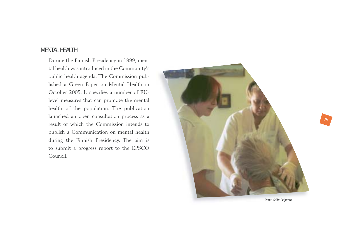### MENTAL HEALTH

During the Finnish Presidency in 1999, mental health was introduced in the Community's public health agenda. The Commission published a Green Paper on Mental Health in October 2005. It specifies a number of EUlevel measures that can promote the mental health of the population. The publication launched an open consultation process as a result of which the Commission intends to publish a Communication on mental health during the Finnish Presidency. The aim is to submit a progress report to the EPSCO Council.

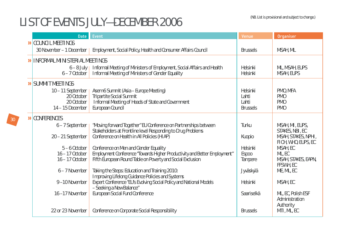# (NB. List is provisional and subject to change.) LIST OF EVENTS JULY—DECEMBER 2006

| <b>Date</b>                                                         | <b>Event</b>                                                                                                                               | Venue                                         | <b>Organiser</b>                                                  |
|---------------------------------------------------------------------|--------------------------------------------------------------------------------------------------------------------------------------------|-----------------------------------------------|-------------------------------------------------------------------|
| DICOUNCIL MEETINGS                                                  |                                                                                                                                            |                                               |                                                                   |
| 30 November - 1 December                                            | Employment, Social Policy, Health and Consumer Affairs Council                                                                             | <b>Brussels</b>                               | MSAH, ML                                                          |
| <b>»</b> INFORMAL MINISTERIAL MEETINGS                              |                                                                                                                                            |                                               |                                                                   |
| $6 - 8$ July  <br>$6 - 7$ October                                   | Informal Meeting of Ministers of Employment, Social Affairs and Health<br>Informal Meeting of Ministers of Gender Equality                 | Helsinki<br>Helsinki                          | ML, MSAH, EUPS<br>MSAH, EUPS                                      |
| <b>»</b> SUMMIT MEETINGS                                            |                                                                                                                                            |                                               |                                                                   |
| 10 - 11 September<br>20 October<br>20 October<br>$14 - 15$ December | Asem 6 Summit (Asia - Europe Meeting)<br>Tripartite Social Summit<br>Informal Meeting of Heads of State and Government<br>European Council | Helsinki<br>Lahti<br>Lahti<br><b>Brussels</b> | PMO, MFA<br>PM <sub>0</sub><br>PM <sub>0</sub><br>PM <sub>0</sub> |
| <b>»</b> CONFERENCES                                                |                                                                                                                                            |                                               |                                                                   |
| 6 - 7 September                                                     | "Moving forward Together" EU Conference on Partnerships between                                                                            | Turku                                         | MSAH, MI, EUPS,                                                   |
| 20 - 21 September                                                   | Stakeholders at Frontline level Responding to Drug Problems<br>Conference on Health in All Policies (HIAP)                                 | Kuopio                                        | STAKES, NBI, EC<br>MSAH, STAKES, NPHI,<br>FIOH, WHO, EUPS, EC     |
| $5 - 6$ October                                                     | Conference on Men and Gender Equality                                                                                                      | Helsinki                                      | MSAH, EC                                                          |
| $16 - 17$ October<br>$16 - 17$ October                              | Employment Conference "Towards Higher Productivity and Better Employment"<br>Fifth European Round Table on Poverty and Social Exclusion    | <b>Espoo</b><br>Tampere                       | ML, EC<br>MSAH, STAKES, EAPN,<br>FFSWH, EC                        |
| 6 - 7 November                                                      | Taking the Steps: Education and Training 2010:<br>Improving Lifelong Guidance Policies and Systems                                         | Jyväskylä                                     | ME, ML, EC                                                        |
| 9-10 November                                                       | Expert Conference "EU's Evolving Social Policy and National Models<br>- Seeking a New Balance"                                             | Helsinki                                      | MSAH, EC                                                          |
| 16-17 November                                                      | European Social Fund Conference                                                                                                            | Saariselkä                                    | ML, EC, Polish ESF<br>Administration<br>Authority                 |
| 22 or 23 November                                                   | Conference on Corporate Social Responsibility                                                                                              | <b>Brussels</b>                               | MTI, ML, EC                                                       |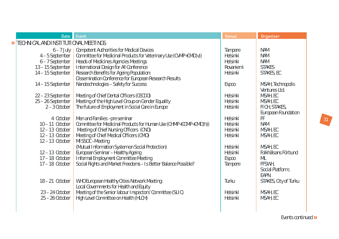|                                         | <b>Date</b>                                                             | Event                                                                                                                                                                                                    | Venue                                        | <b>Organiser</b>                                        |  |
|-----------------------------------------|-------------------------------------------------------------------------|----------------------------------------------------------------------------------------------------------------------------------------------------------------------------------------------------------|----------------------------------------------|---------------------------------------------------------|--|
| >> TECHNICAL AND INSTITUTIONAL MEETINGS |                                                                         |                                                                                                                                                                                                          |                                              |                                                         |  |
|                                         | $6 - 7$ July 1<br>4 - 5 September<br>6-7 September<br>13 - 15 September | <b>Competent Authorities for Medical Devices</b><br>Committee for Medicinal Products for Veterinary Use (CVMP+CMD(v))<br>Heads of Medicines Agencies Meetings<br>International Design for All Conference | Tampere<br>Helsinki<br>Helsinki<br>Rovaniemi | <b>NAM</b><br><b>NAM</b><br><b>NAM</b><br><b>STAKES</b> |  |
|                                         | 14 - 15 September                                                       | Research Benefits for Ageing Population:<br>Dissemination Conference for European Research Results                                                                                                       | Helsinki                                     | STAKES, EC                                              |  |
|                                         | 14 - 15 September                                                       | Nanotechnologies - Safety for Success                                                                                                                                                                    | <b>Espoo</b>                                 | MSAH, Technopolis<br>Ventures Ltd.                      |  |
|                                         | 22 - 23 September<br>25 - 26 September<br>$2 - 3$ October               | Meeting of Chief Dental Officers (CECDO)<br>Meeting of the High Level Group on Gender Equality<br>The Future of Employment in Social Care in Europe                                                      | Helsinki<br>Helsinki<br>Helsinki             | MSAH, EC<br>MSAH, EC<br>FIOH, STAKES,                   |  |
|                                         | 4 October                                                               | Men and Families -pre seminar                                                                                                                                                                            | Helsinki                                     | European Foundation<br>FF                               |  |
|                                         | $10 - 11$ October<br>$12 - 13$ October                                  | Committee for Medicinal Products for Human Use (CHMP+COMP+CMD(h))<br>Meeting of Chief Nursing Officers (CNO)                                                                                             | Helsinki<br>Helsinki                         | <b>NAM</b><br>MSAH, EC                                  |  |
|                                         | 12-13 October<br>$12 - 13$ October                                      | Meeting of Chief Medical Officers (CMO)<br>MISSOC-Meeting                                                                                                                                                | Helsinki                                     | MSAH, EC                                                |  |
|                                         | $12 - 13$ October<br>$17 - 18$ October                                  | (Mutual Information System on Social Protection)<br>European Seminar - Healthy Ageing<br>Informal Employment Committee Meeting                                                                           | Helsinki<br>Helsinki<br>Espoo                | MSAH, EC<br>Folkhälsans Förbund<br>ML                   |  |
|                                         | $17 - 18$ October                                                       | Social Rights and Market Freedoms - Is Better Balance Possible?                                                                                                                                          | Tampere                                      | FFSWH.<br>Social Platform,<br>EAPN                      |  |
|                                         | $18 - 21$ October                                                       | WHO European Healthy Cities Network Meeting:<br>Local Governments for Health and Equity                                                                                                                  | Turku                                        | STAKES, City of Turku                                   |  |
|                                         | 23 - 24 October<br>$25 - 26$ October                                    | Meeting of the Senior labour Inspectors' Committee (SLIC)<br>High Level Committee on Health (HLCH)                                                                                                       | Helsinki<br>Helsinki                         | MSAH, EC<br>MSAH, EC                                    |  |

Events continued »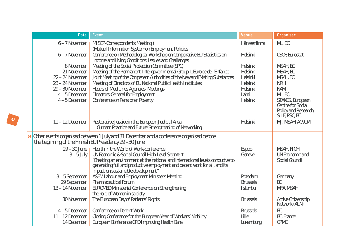| <b>Date</b>                                           | <b>Event</b>                                                                                                                                              | Venue           | <b>Organiser</b>                          |
|-------------------------------------------------------|-----------------------------------------------------------------------------------------------------------------------------------------------------------|-----------------|-------------------------------------------|
| 6 - 7 November                                        | MISEP-Correspondents Meeting)                                                                                                                             | Hämeenlinna     | ML, EC                                    |
|                                                       | (Mutual Information System on Employment Policies                                                                                                         |                 |                                           |
| 6-7 November                                          | Conference on Methodological Workshop on Comparative EU-Statistics on<br>Income and Living Conditions: Issues and Challenges                              | Helsinki        | CSOF, Eurostat                            |
| 8 November                                            | Meeting of the Social Protection Committee (SPC)                                                                                                          | Helsinki        | MSAH, EC                                  |
| 21 November                                           | Meeting of the Permanent Intergovernmental Group, L'Europe de l'Enfance                                                                                   | Helsinki        | MSAH, EC                                  |
| 22 - 24 November                                      | Joint Meeting of the Competent Authorities of the New and Existing Substances                                                                             | Helsinki        | MSAH, EC                                  |
| 23 - 24 November                                      | Meeting of Directors of EU National Public Health Institutes                                                                                              | Helsinki        | <b>NPHI</b>                               |
| 29 - 30 November                                      | Heads of Medicines Agencies Meetings                                                                                                                      | Helsinki        | <b>NAM</b>                                |
| $4 - 5$ December                                      | Directors-General for Employment                                                                                                                          | Lahti           | ML, EC                                    |
| $4 - 5$ December                                      | Conference on Pensioner Poverty                                                                                                                           | Helsinki        | STAKES, European                          |
|                                                       |                                                                                                                                                           |                 | Centre for Social<br>Policy and Research, |
|                                                       |                                                                                                                                                           |                 | SIIF, PSC, EC                             |
| $11 - 12$ December                                    | Restorative Justice in the European Judicial Area                                                                                                         | Helsinki        | MJ, MSAH, ACVOM                           |
|                                                       | - Current Practice and Future Strengthening of Networking                                                                                                 |                 |                                           |
|                                                       | >> Other events organised between 1 July and 31 December and a conference organised before                                                                |                 |                                           |
| the beginning of the Finnish EU Presidency 29-30 June |                                                                                                                                                           |                 |                                           |
|                                                       | 29 - 30 June   Health in the World of Work-conference                                                                                                     | <b>Espoo</b>    | MSAH, FIOH                                |
| $3 - 5$ July                                          | UN Economic & Social Council High-Level Segment                                                                                                           | Geneve          | UN Economic and                           |
|                                                       |                                                                                                                                                           |                 | Social Council                            |
|                                                       | "Creating an environment at the national and international levels conducive to generating full and productive employment and decent work for all, and its |                 |                                           |
|                                                       | impact on sustainable development"                                                                                                                        |                 |                                           |
| 3-5 September                                         | ASEM Labour and Employment Ministers Meeting                                                                                                              | Potsdam         | Germany                                   |
| 29 September                                          | <b>Pharmaceutical Forum</b>                                                                                                                               | <b>Brussels</b> | EC                                        |
| 13 - 14 November                                      | EUROMED Ministerial Conference on Strengthening                                                                                                           | <b>Istanbul</b> | MFA, MSAH                                 |
|                                                       | the role of Women in society                                                                                                                              |                 |                                           |
| 30 November                                           | The European Day of Patients' Rights                                                                                                                      | <b>Brussels</b> | Active Citizenship<br>Network (ACN)       |
| $4 - 5$ December                                      | Conference on Decent Work                                                                                                                                 | <b>Brussels</b> | EC                                        |
| 11 - 12 December                                      | Closing Conference for the European Year of Workers' Mobility                                                                                             | Lille           | EC, France                                |
| 14 December                                           | European Conference CPD Improving Health Care                                                                                                             | Luxemburg       | <b>CPME</b>                               |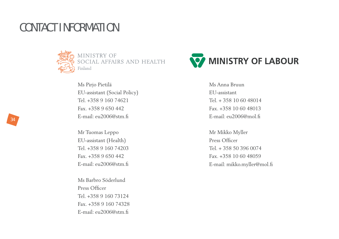### CONTACT INFORMATION



MINISTRY OF<br>SOCIAL AFFAIRS AND HEALTH Finland

Ms Pirjo Pietilä EU-assistant (Social Policy) Tel. +358 9 160 74621Fax. +358 9 650 442E-mail: eu2006@stm.fi

Mr Tuomas Leppo EU-assistant (Health) Tel. +358 9 160 74203Fax. +358 9 650 442E-mail: eu2006@stm.fi

Ms Barbro Söderlund Press Officer Tel. +358 9 160 73124Fax. +358 9 160 74328E-mail: eu2006@stm.fi



Ms Anna Bruun EU-assistantTel. + 358 10 60 48014Fax. +358 10 60 48013E-mail: eu2006@mol.fi

Mr Mikko Myller Press Officer Tel. + 358 50 396 0074Fax. +358 10 60 48059E-mail: mikko.myller@mol.fi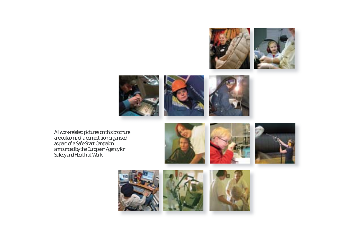







All work-related pictures on this brochure are outcome of a competition organised as part of a Safe Start Campaign announced by the European Agency for Safety and Health at Work.